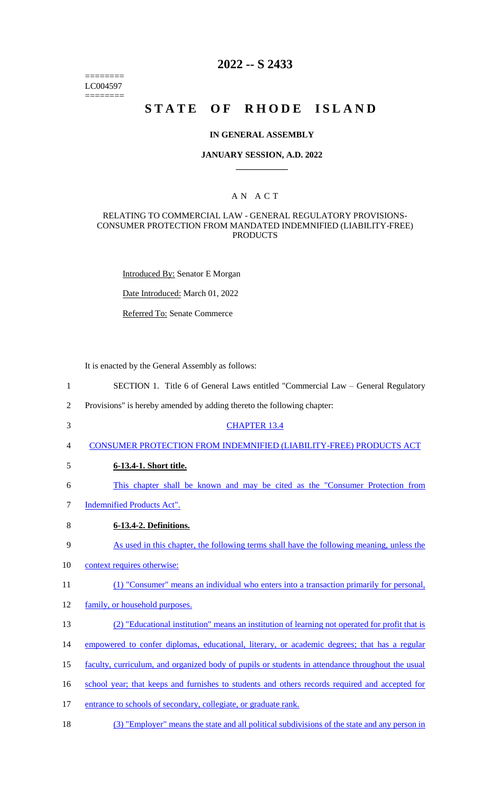======== LC004597 ========

# **2022 -- S 2433**

# **STATE OF RHODE ISLAND**

### **IN GENERAL ASSEMBLY**

### **JANUARY SESSION, A.D. 2022 \_\_\_\_\_\_\_\_\_\_\_\_**

### A N A C T

### RELATING TO COMMERCIAL LAW - GENERAL REGULATORY PROVISIONS-CONSUMER PROTECTION FROM MANDATED INDEMNIFIED (LIABILITY-FREE) PRODUCTS

Introduced By: Senator E Morgan

Date Introduced: March 01, 2022

Referred To: Senate Commerce

It is enacted by the General Assembly as follows:

- 1 SECTION 1. Title 6 of General Laws entitled "Commercial Law General Regulatory
- 2 Provisions" is hereby amended by adding thereto the following chapter:
- 3 CHAPTER 13.4
- 4 CONSUMER PROTECTION FROM INDEMNIFIED (LIABILITY-FREE) PRODUCTS ACT
- 5 **6-13.4-1. Short title.**
- 6 This chapter shall be known and may be cited as the "Consumer Protection from
- 7 Indemnified Products Act".
- 8 **6-13.4-2. Definitions.**
- 9 As used in this chapter, the following terms shall have the following meaning, unless the
- 10 context requires otherwise:
- 11 (1) "Consumer" means an individual who enters into a transaction primarily for personal,
- 12 family, or household purposes.
- 13 (2) "Educational institution" means an institution of learning not operated for profit that is
- 14 empowered to confer diplomas, educational, literary, or academic degrees; that has a regular
- 15 faculty, curriculum, and organized body of pupils or students in attendance throughout the usual
- 16 school year; that keeps and furnishes to students and others records required and accepted for
- 17 entrance to schools of secondary, collegiate, or graduate rank.
- 18 (3) "Employer" means the state and all political subdivisions of the state and any person in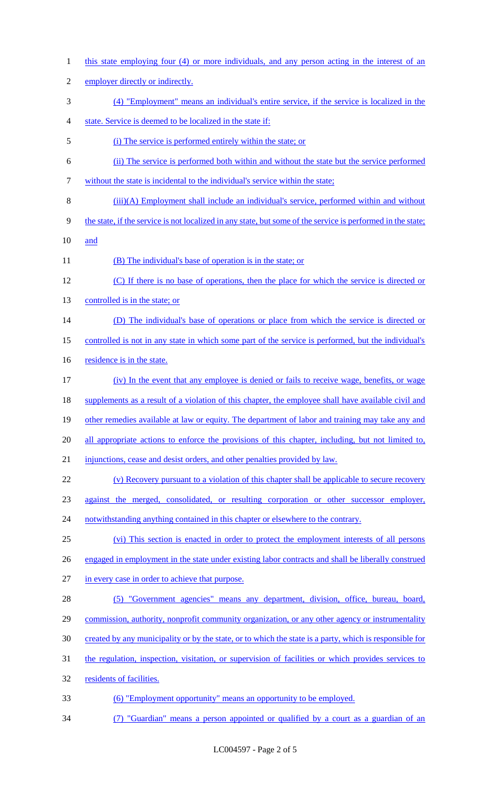1 this state employing four (4) or more individuals, and any person acting in the interest of an employer directly or indirectly. (4) "Employment" means an individual's entire service, if the service is localized in the state. Service is deemed to be localized in the state if: (i) The service is performed entirely within the state; or (ii) The service is performed both within and without the state but the service performed without the state is incidental to the individual's service within the state; (iii)(A) Employment shall include an individual's service, performed within and without the state, if the service is not localized in any state, but some of the service is performed in the state; and 11 (B) The individual's base of operation is in the state; or (C) If there is no base of operations, then the place for which the service is directed or controlled is in the state; or (D) The individual's base of operations or place from which the service is directed or controlled is not in any state in which some part of the service is performed, but the individual's 16 residence is in the state. (iv) In the event that any employee is denied or fails to receive wage, benefits, or wage supplements as a result of a violation of this chapter, the employee shall have available civil and 19 other remedies available at law or equity. The department of labor and training may take any and 20 all appropriate actions to enforce the provisions of this chapter, including, but not limited to, injunctions, cease and desist orders, and other penalties provided by law. (v) Recovery pursuant to a violation of this chapter shall be applicable to secure recovery against the merged, consolidated, or resulting corporation or other successor employer, 24 notwithstanding anything contained in this chapter or elsewhere to the contrary. (vi) This section is enacted in order to protect the employment interests of all persons engaged in employment in the state under existing labor contracts and shall be liberally construed in every case in order to achieve that purpose. (5) "Government agencies" means any department, division, office, bureau, board, commission, authority, nonprofit community organization, or any other agency or instrumentality created by any municipality or by the state, or to which the state is a party, which is responsible for the regulation, inspection, visitation, or supervision of facilities or which provides services to 32 residents of facilities. (6) "Employment opportunity" means an opportunity to be employed. (7) "Guardian" means a person appointed or qualified by a court as a guardian of an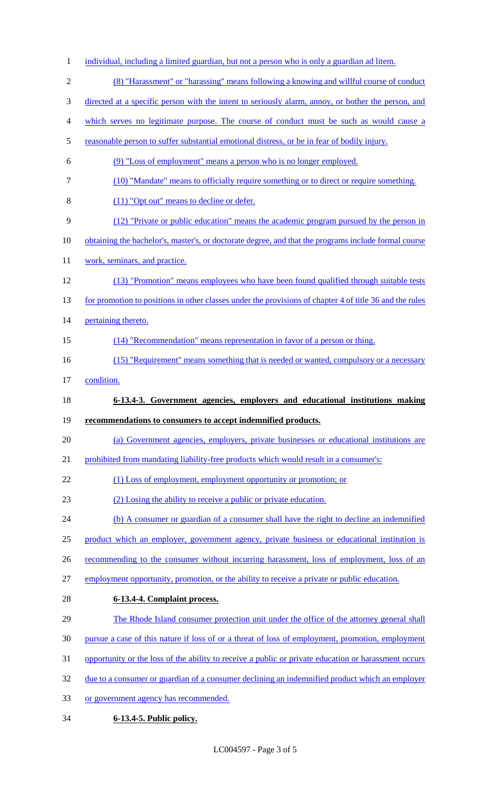- 1 individual, including a limited guardian, but not a person who is only a guardian ad litem. (8) "Harassment" or "harassing" means following a knowing and willful course of conduct directed at a specific person with the intent to seriously alarm, annoy, or bother the person, and which serves no legitimate purpose. The course of conduct must be such as would cause a 5 reasonable person to suffer substantial emotional distress, or be in fear of bodily injury. (9) "Loss of employment" means a person who is no longer employed. (10) "Mandate" means to officially require something or to direct or require something. (11) "Opt out" means to decline or defer. (12) "Private or public education" means the academic program pursued by the person in 10 obtaining the bachelor's, master's, or doctorate degree, and that the programs include formal course 11 work, seminars, and practice. (13) "Promotion" means employees who have been found qualified through suitable tests 13 for promotion to positions in other classes under the provisions of chapter 4 of title 36 and the rules 14 pertaining thereto. (14) "Recommendation" means representation in favor of a person or thing. 16 (15) "Requirement" means something that is needed or wanted, compulsory or a necessary condition. **6-13.4-3. Government agencies, employers and educational institutions making recommendations to consumers to accept indemnified products.** (a) Government agencies, employers, private businesses or educational institutions are 21 prohibited from mandating liability-free products which would result in a consumer's: 22 (1) Loss of employment, employment opportunity or promotion; or (2) Losing the ability to receive a public or private education. 24 (b) A consumer or guardian of a consumer shall have the right to decline an indemnified product which an employer, government agency, private business or educational institution is 26 recommending to the consumer without incurring harassment, loss of employment, loss of an employment opportunity, promotion, or the ability to receive a private or public education. **6-13.4-4. Complaint process.** The Rhode Island consumer protection unit under the office of the attorney general shall pursue a case of this nature if loss of or a threat of loss of employment, promotion, employment opportunity or the loss of the ability to receive a public or private education or harassment occurs 32 due to a consumer or guardian of a consumer declining an indemnified product which an employer or government agency has recommended. **6-13.4-5. Public policy.**
	- LC004597 Page 3 of 5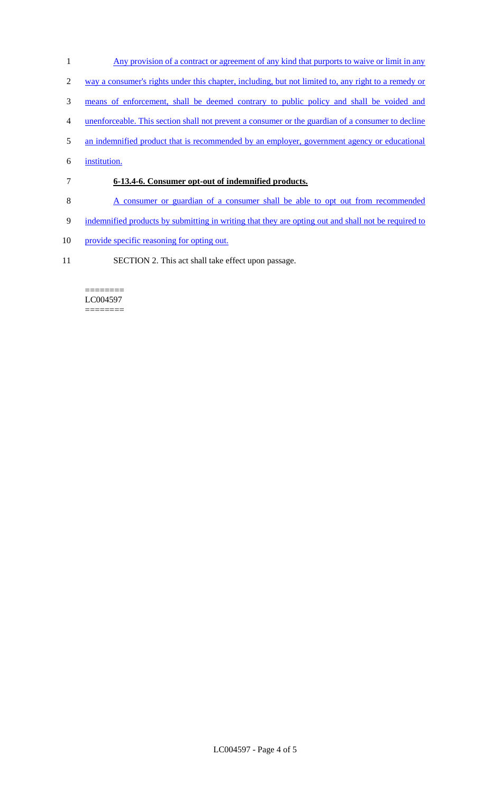- 1 Any provision of a contract or agreement of any kind that purports to waive or limit in any
- 2 way a consumer's rights under this chapter, including, but not limited to, any right to a remedy or
- 3 means of enforcement, shall be deemed contrary to public policy and shall be voided and
- 4 unenforceable. This section shall not prevent a consumer or the guardian of a consumer to decline
- 5 an indemnified product that is recommended by an employer, government agency or educational
- 6 institution.
- 7 **6-13.4-6. Consumer opt-out of indemnified products.**
- 8 A consumer or guardian of a consumer shall be able to opt out from recommended
- 9 indemnified products by submitting in writing that they are opting out and shall not be required to
- 10 provide specific reasoning for opting out.
- 11 SECTION 2. This act shall take effect upon passage.

#### ======== LC004597 ========